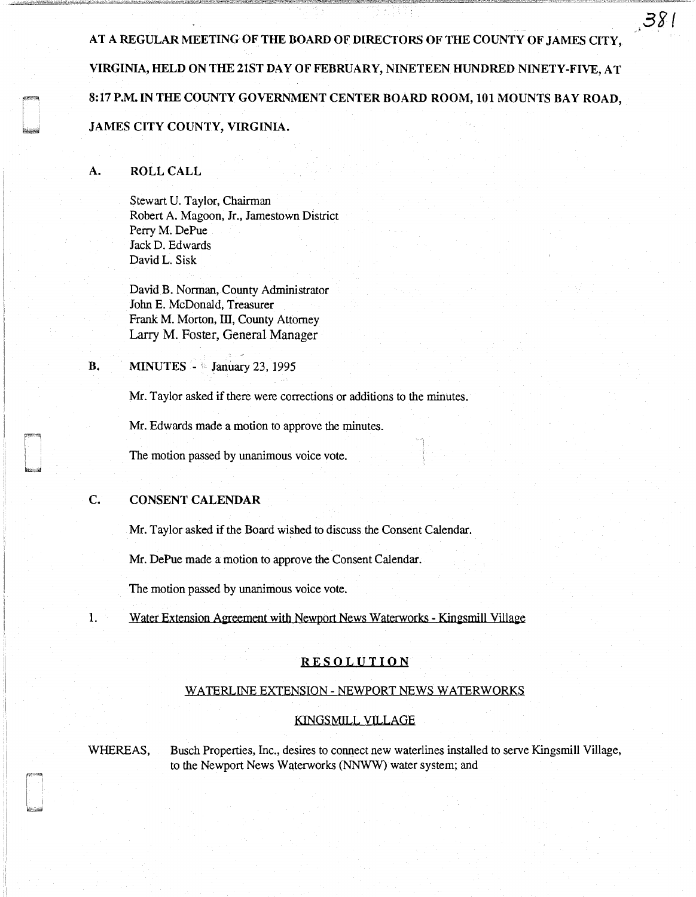AT A REGULAR MEETING OF THE BOARD OF DIRECTORS OF THE COUNTY OF JAMES CITY, VIRGINIA, HELD ON THE 21ST DAY OF FEBRUARY, NINETEEN HUNDRED NINETY-FIVE, AT 8:17 P.M. IN THE COUNTY GOVERNMENT CENTER BOARD ROOM, 101 MOUNTS BAY ROAD, JAMES CITY COUNTY, VIRGINIA.

 $381$ 

### A. ROLL CALL

Stewart U. Taylor, Chairman Robert A. Magoon, Jr., Jamestown District Perry M. DePue JackD. Edwards David L. Sisk

David B. Norman, County Administrator John E. McDonald, Treasurer Frank M. Morton, III, County Attorney Larry M. Foster, General Manager

**B.** MINUTES - *a* January 23, 1995

Mr. Taylor asked if there were corrections or additions to the minutes.

Mr. Edwards made a motion to approve the minutes.

The motion passed by unanimous voice vote.

## C. CONSENT CALENDAR

Mr. Taylor asked if the Board wished to discuss the Consent Calendar.

Mr. DePue made a motion to approve the Consent Calendar.

The motion passed by unanimous voice vote.

1. Water Extension Agreement with Newport News Waterworks - Kingsmill Village

#### RESOLUTION

#### WATERLINE EXTENSION - NEWPORT NEWS WATERWORKS

#### KINGSMILL VILLAGE

WHEREAS, Busch Properties, Inc., desires to connect new waterlines installed to serve Kingsmill Village, to the Newport News Waterworks (NNWW) water system; and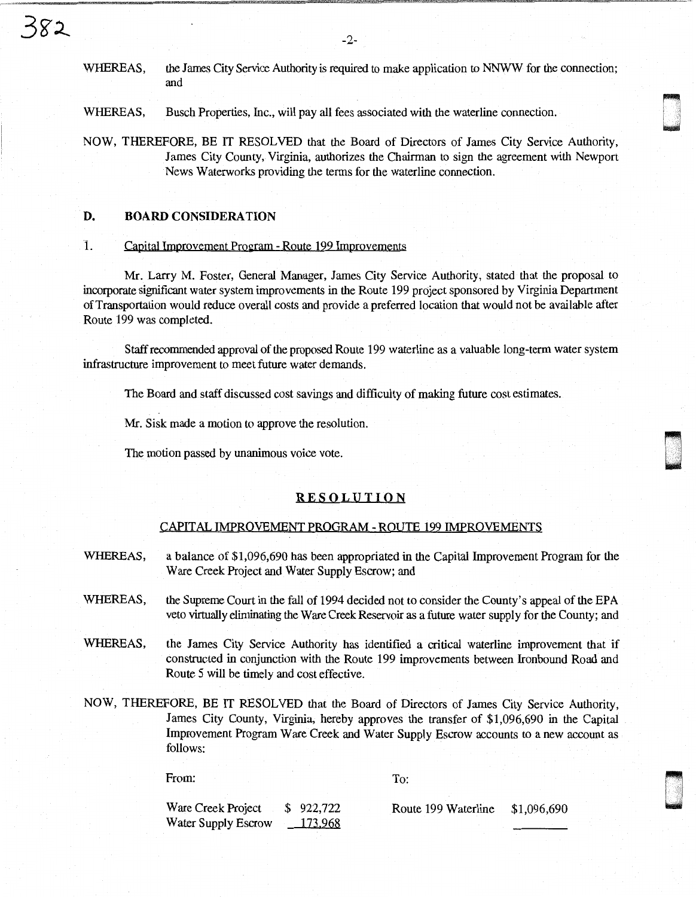WHEREAS, the James City Service Authority is required to make application to NNWW for the connection; and

WHEREAS, Busch Properties, Inc., will pay all fees associated with the waterline connection.

NOW, THEREFORE, BE IT RESOLVED that the Board of Directors of James City Service Authority, James City County, Virginia, authorizes the Chairman to sign the agreement with Newport News Waterworks providing the terms for the waterline connection.

#### D. BOARD CONSIDERATION

382

### 1. Capital Improvement Program - Route 199 Improvements

Mr. Larry M. Foster, General Manager, James City Service Authority, stated that the proposal to incorporate significant water system improvements in the Route 199 project sponsored by Virginia Department of Transportation would reduce overall costs and provide a preferred location that would not be available after Route 199 was completed.

Staff recommended approval of the proposed Route 199 waterline as a valuable long-term water system infrastructure improvement to meet future water demands.

The Board and staff discussed cost savings and difficulty of making future cost estimates.

Mr. Sisk made a motion to approve the resolution.

The motion passed by unanimous voice vote.

#### RESOLUTION

#### CAPITAL IMPROVEMENT PROGRAM - ROUTE 199 IMPROVEMENTS

- WHEREAS, a balance of \$1,096,690 has been appropriated in the Capital Improvement Program for the Ware Creek Project and Water Supply Escrow; and
- WHEREAS, the Supreme Court in the fall of 1994 decided not to consider the County's appeal of the EPA veto virtually eliminating the Ware Creek Reservoir as a future water supply for the County; and
- WHEREAS, the James City Service Authority has identified a critical waterline improvement that if constructed in conjunction with the Route 199 improvements between Ironbound Road and Route 5 will be timely and cost effective.
- NOW, THEREFORE, BE IT RESOLVED that the Board of Directors of James City Service Authority, James City County, Virginia, hereby approves the transfer of \$1,096,690 in the Capital Improvement Program Ware Creek and Water Supply Escrow accounts to a new account as follows:

From:

To:

Ware Creek Project Water Supply Escrow \$ 922,722 173.968

Route 199 Waterline \$1,096,690

Q .

.

anan<br>Daga

ri i<br>I regenti